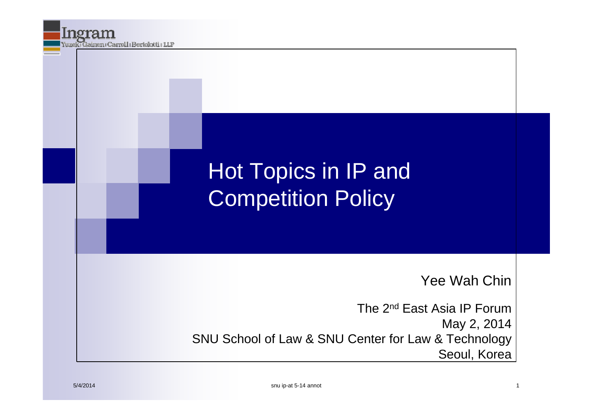### Hot Topics in IP and Competition Policy

Yee Wah Chin

The 2nd East Asia IP Forum May 2, 2014 SNU School of Law & SNU Center for Law & Technology Seoul, Korea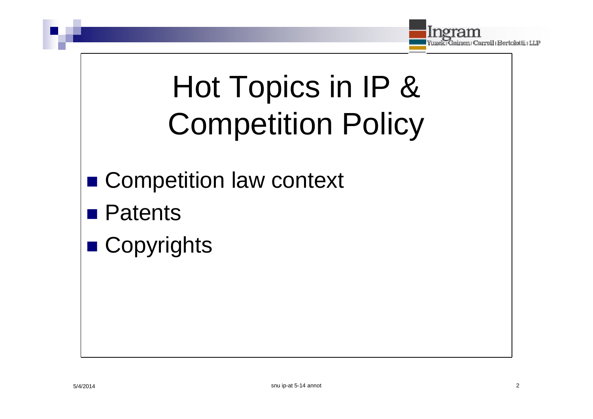

# Hot Topics in IP & **Competition Policy**

- Competition law context
- **Patents**
- Copyrights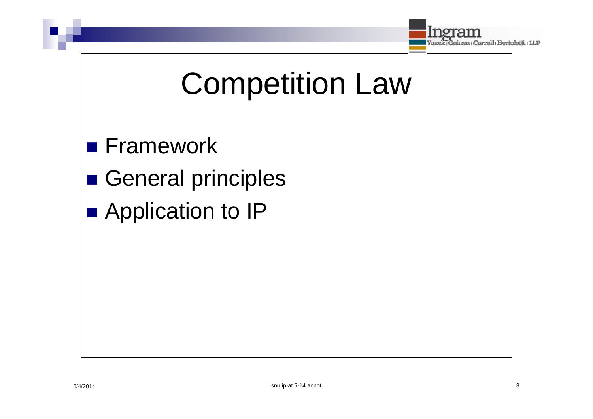

# **Competition Law**

- **Framework**
- General principles
- Application to IP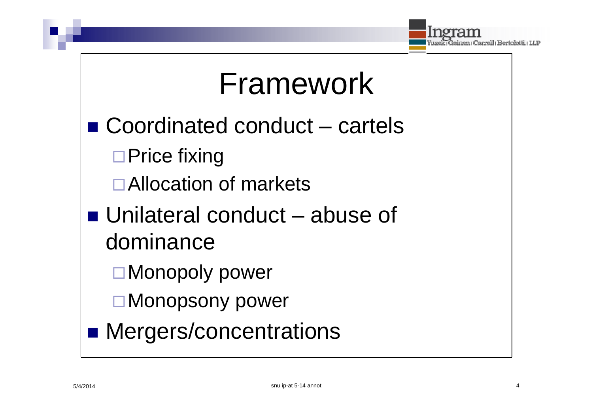

### Framework

- $\blacksquare$  Coordinated conduct  $-$  cartels  $\Box$  Price fixing □ Allocation of markets  $\blacksquare$  Unilateral conduct – abuse of dominance
	- □ Monopoly power
	- □ Monopsony power
- Mergers/concentrations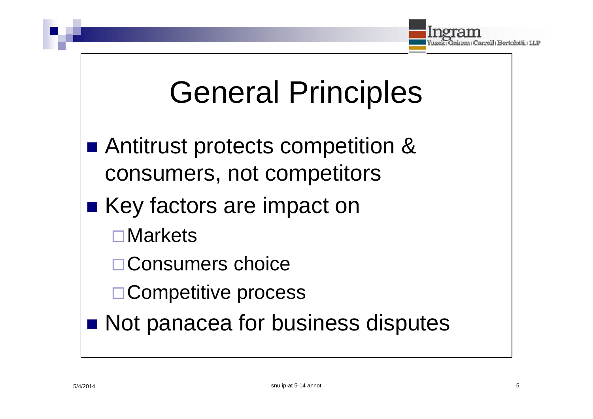

## **General Principles**

- Antitrust protects competition & consumers, not competitors
- Key factors are impact on
	- $\square$  Markets
	- □ Consumers choice
	- □ Competitive process
- Not panacea for business disputes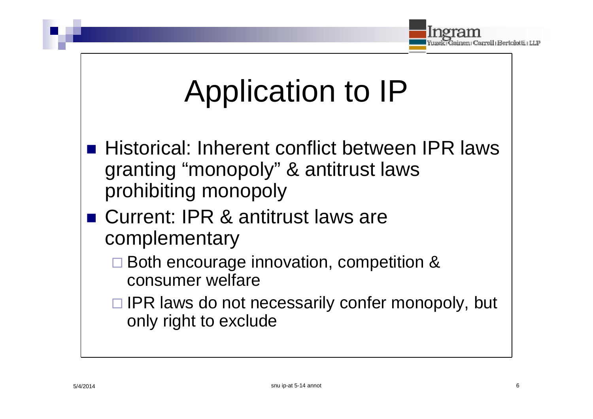

## Application to IP

- Historical: Inherent conflict between IPR laws granting "monopoly" & antitrust laws prohibiting monopoly
- Current: IPR & antitrust laws are complementary
	- □ Both encourage innovation, competition & consumer welfare
	- $\Box$  IPR laws do not necessarily confer monopoly, but only right to exclude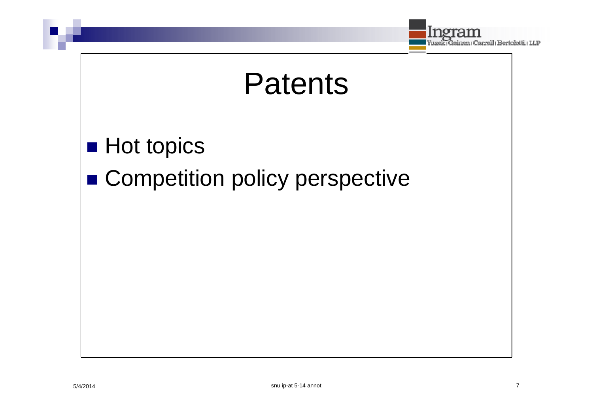



#### **Hot topics**

#### Competition policy perspective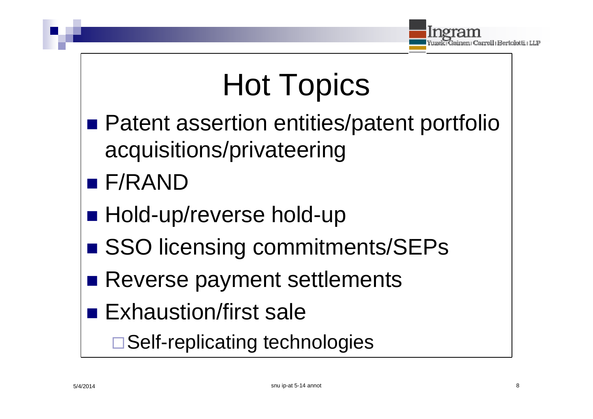

# Hot Topics

- Patent assertion entities/patent portfolio acquisitions/privateering
- F/RAND
- Hold-up/reverse hold-up
- SSO licensing commitments/SEPs
- Reverse payment settlements
- **Exhaustion/first sale**

□ Self-replicating technologies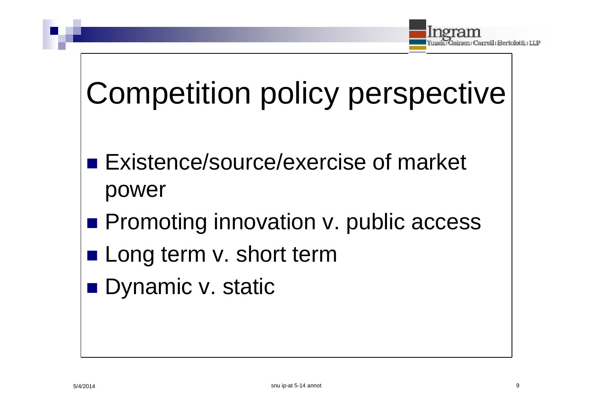

# Competition policy perspective

- **Existence/source/exercise of market** power
- **Promoting innovation v. public access**
- Long term v. short term
- Dynamic v. static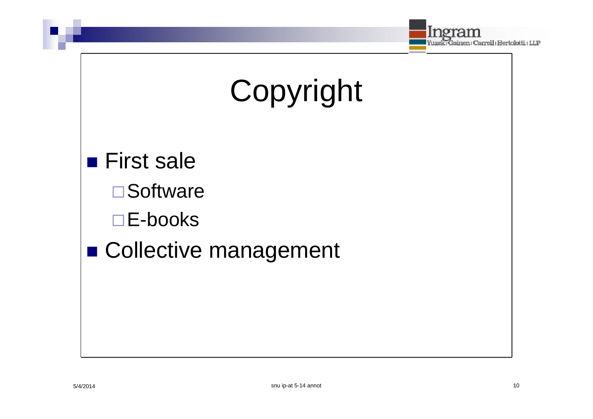

# Copyright

**First sale**  $\square$  Software  $\square$  E-books ■ Collective management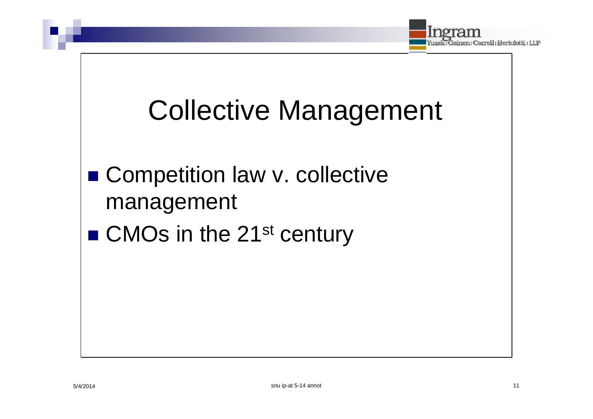

### **Collective Management**

### • Competition law v. collective management

#### ■ CMOs in the 21<sup>st</sup> century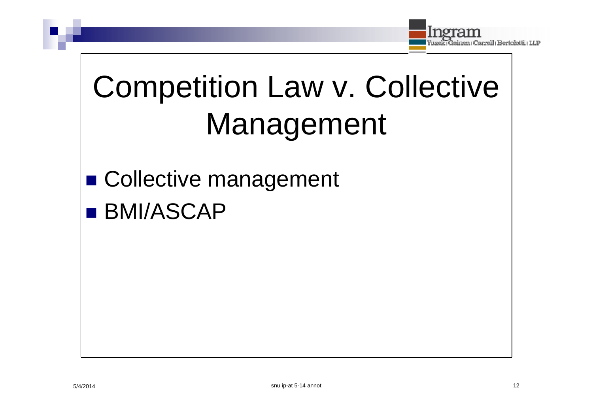

# **Competition Law v. Collective** Management

■ Collective management **BMI/ASCAP**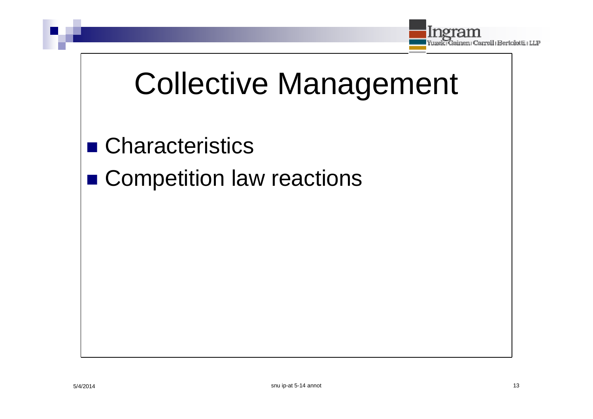

## **Collective Management**

- Characteristics
- Competition law reactions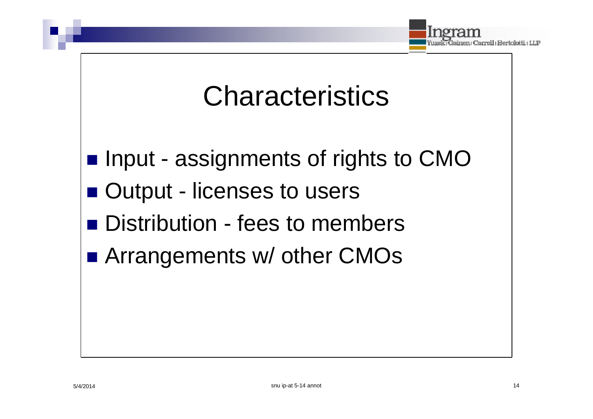

### **Characteristics**

- Input assignments of rights to CMO
- Output licenses to users
- **Distribution fees to members**
- Arrangements w/ other CMOs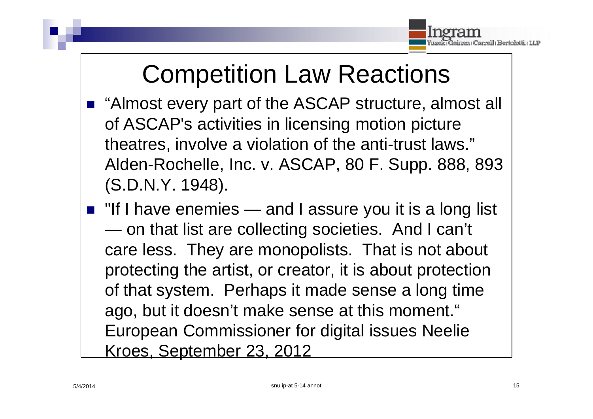

### Competition Law Reactions

- "Almost every part of the ASCAP structure, almost all of ASCAP's activities in licensing motion picture theatres, involve a violation of the anti-trust laws." Alden-Rochelle, Inc. v. ASCAP, 80 F. Supp. 888, 893 (S.D.N.Y. 1948).
- $\blacksquare$  "If I have enemies and I assure you it is a long list — on that list are collecting societies. And I can't care less. They are monopolists. That is not about protecting the artist, or creator, it is about protection of that system. Perhaps it made sense a long time ago, but it doesn't make sense at this moment." European Commissioner for digital issues Neelie Kroes, September 23, 2012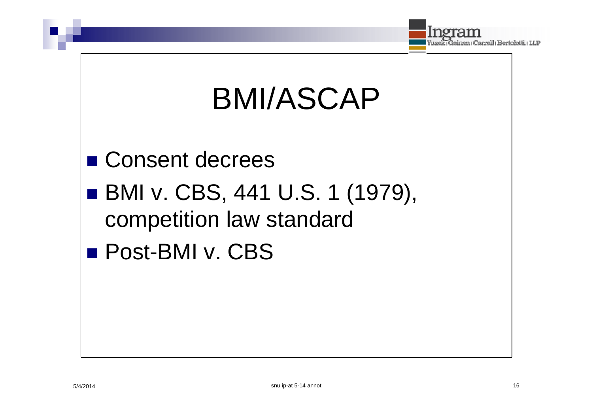

# **BMI/ASCAP**

■ Consent decrees ■ BMI v. CBS, 441 U.S. 1 (1979), competition law standard **Post-BMI v. CBS**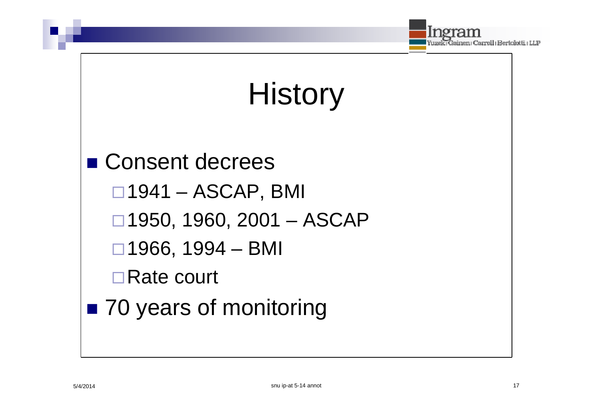

# **History**

■ Consent decrees  $\Box$ 1941 – ASCAP, BMI  $\Box$  1950, 1960, 2001 - ASCAP  $\Box$  1966, 1994 - BMI  $\Box$ Rate court ■ 70 years of monitoring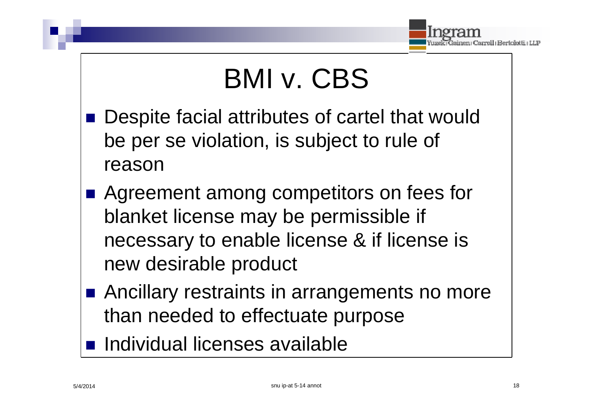

### BMI v. CBS

- Despite facial attributes of cartel that would be per se violation, is subject to rule of reason
- Agreement among competitors on fees for blanket license may be permissible if necessary to enable license & if license is new desirable product
- Ancillary restraints in arrangements no more than needed to effectuate purpose
- **n** Individual licenses available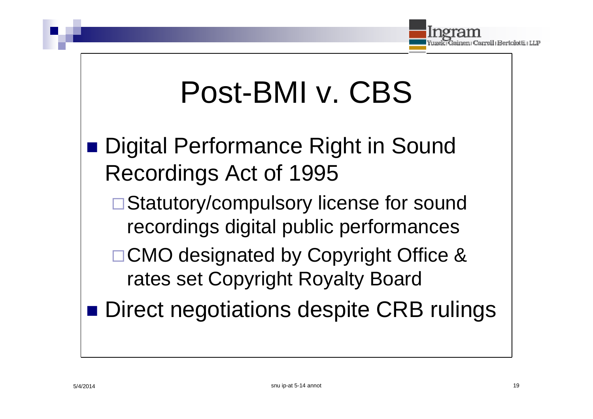

## Post-BMI v. CBS

- Digital Performance Right in Sound Recordings Act of 1995
	- □ Statutory/compulsory license for sound recordings digital public performances
	- □ CMO designated by Copyright Office & rates set Copyright Royalty Board
	- Direct negotiations despite CRB rulings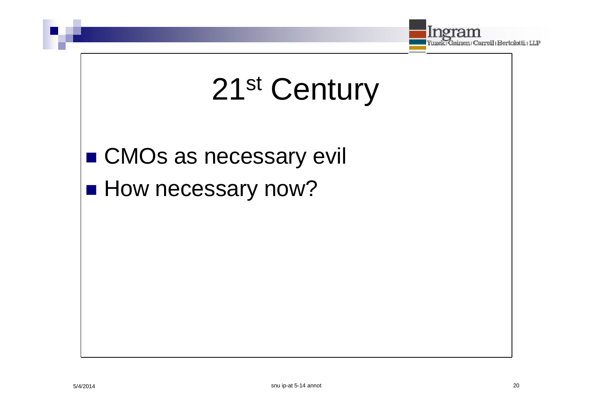

# 21<sup>st</sup> Century

■ CMOs as necessary evil

**How necessary now?**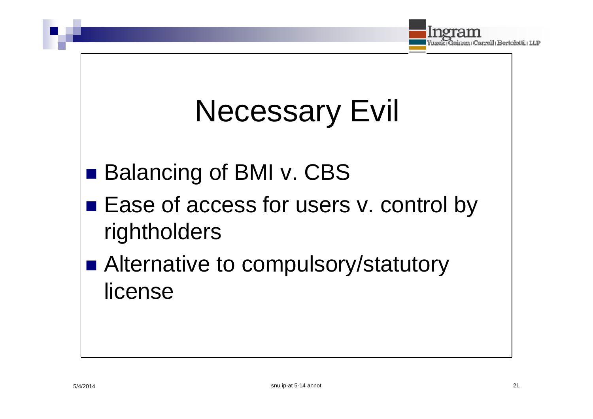

# **Necessary Evil**

- Balancing of BMI v. CBS
- Ease of access for users v. control by rightholders
- Alternative to compulsory/statutory license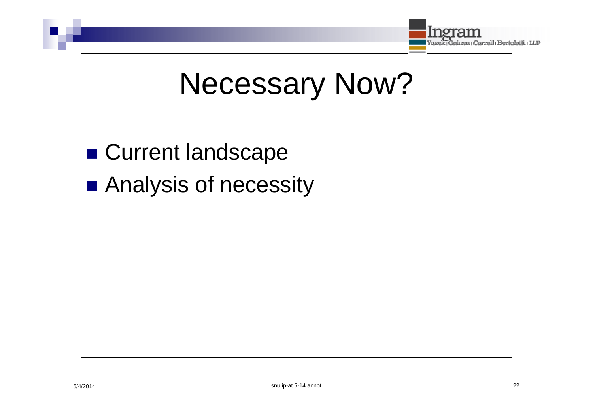

## **Necessary Now?**

**Current landscape** Analysis of necessity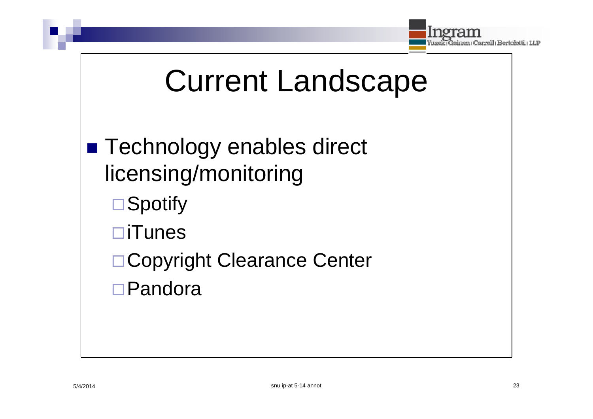

## Current Landscape

### ■ Technology enables direct licensing/monitoring **□ Spotify** iTunes □ Copyright Clearance Center □ Pandora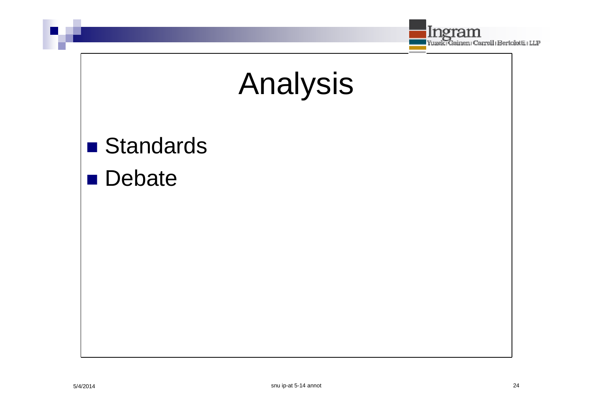



### **Standards**

#### **Debate**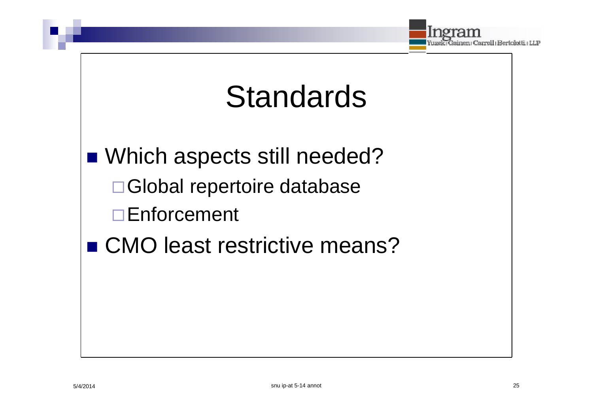

### **Standards**

■ Which aspects still needed?

- □ Global repertoire database
- $\Box$  Enforcement
- CMO least restrictive means?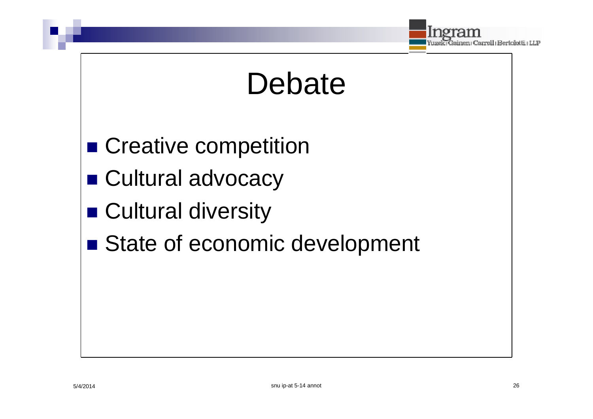

### Debate

- Creative competition
- Cultural advocacy
- Cultural diversity
- State of economic development